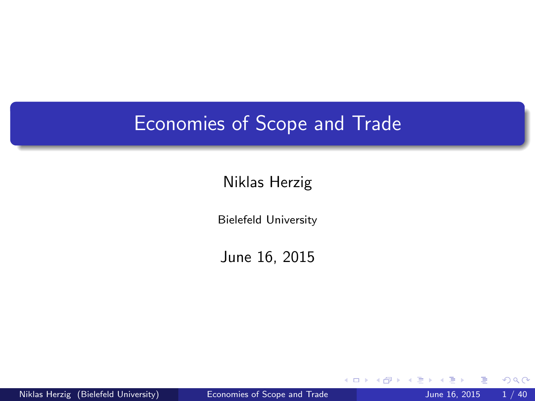#### <span id="page-0-0"></span>Economies of Scope and Trade

#### Niklas Herzig

Bielefeld University

June 16, 2015

Niklas Herzig (Bielefeld University) [Economies of Scope and Trade](#page-39-0) June 16, 2015 1/40

4 0 8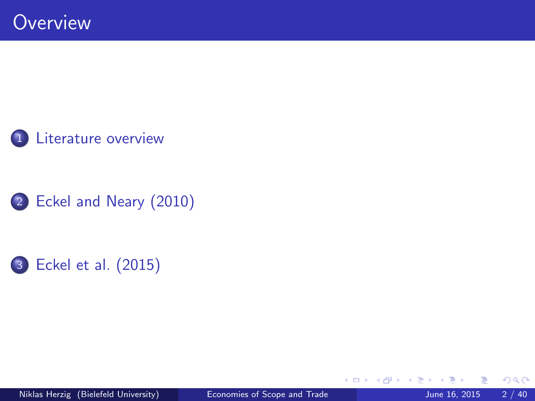





4 0 8

- 64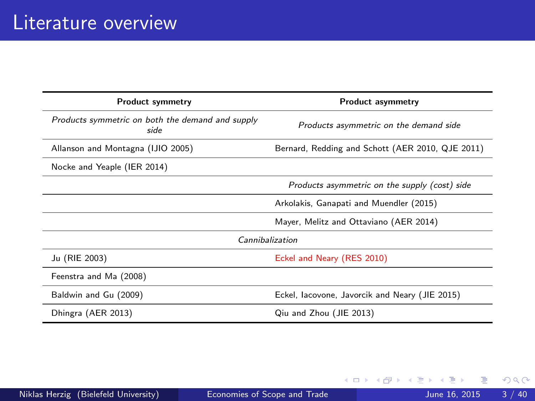<span id="page-2-0"></span>

| <b>Product symmetry</b>                                  | <b>Product asymmetry</b>                         |  |  |  |
|----------------------------------------------------------|--------------------------------------------------|--|--|--|
| Products symmetric on both the demand and supply<br>side | Products asymmetric on the demand side           |  |  |  |
| Allanson and Montagna (IJIO 2005)                        | Bernard, Redding and Schott (AER 2010, QJE 2011) |  |  |  |
| Nocke and Yeaple (IER 2014)                              |                                                  |  |  |  |
|                                                          | Products asymmetric on the supply (cost) side    |  |  |  |
|                                                          | Arkolakis, Ganapati and Muendler (2015)          |  |  |  |
|                                                          | Mayer, Melitz and Ottaviano (AER 2014)           |  |  |  |
| Cannibalization                                          |                                                  |  |  |  |
| Ju (RIE 2003)                                            | Eckel and Neary (RES 2010)                       |  |  |  |
| Feenstra and Ma (2008)                                   |                                                  |  |  |  |
| Baldwin and Gu (2009)                                    | Eckel, lacovone, Javorcik and Neary (JIE 2015)   |  |  |  |
| Dhingra (AER 2013)                                       | Qiu and Zhou (JIE 2013)                          |  |  |  |

重

メロト メ都 トメ ヨ トメ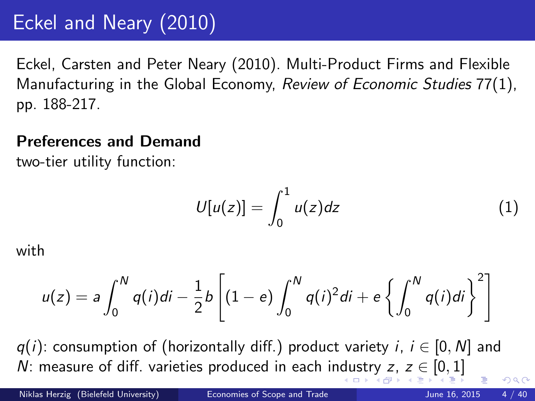# <span id="page-3-0"></span>Eckel and Neary (2010)

Eckel, Carsten and Peter Neary (2010). Multi-Product Firms and Flexible Manufacturing in the Global Economy, Review of Economic Studies 77(1), pp. 188-217.

#### Preferences and Demand

two-tier utility function:

$$
U[u(z)] = \int_0^1 u(z)dz \tag{1}
$$

with

$$
u(z) = a \int_0^N q(i)di - \frac{1}{2}b \left[ (1 - e) \int_0^N q(i)^2 di + e \left\{ \int_0^N q(i)di \right\}^2 \right]
$$

 $q(i)$ : consumption of (horizontally diff.) product variety i,  $i \in [0, N]$  and N: measure of diff. varieties pro[du](#page-2-0)ced in each indu[str](#page-4-0)[y](#page-2-0)  $z, z \in [0, 1]$  $z, z \in [0, 1]$  $z, z \in [0, 1]$  $z, z \in [0, 1]$  $z, z \in [0, 1]$  $z, z \in [0, 1]$  $z, z \in [0, 1]$  $\Omega$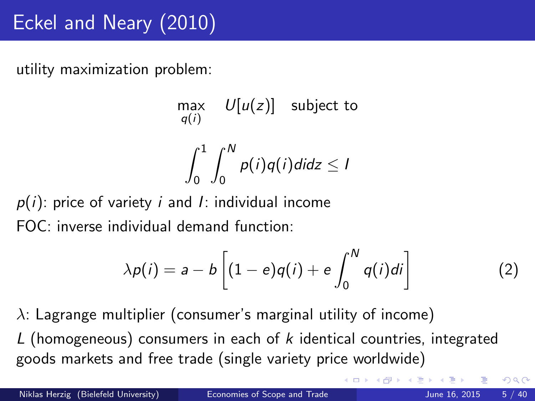<span id="page-4-0"></span>utility maximization problem:

$$
\max_{q(i)} U[u(z)] \text{ subject to}
$$

$$
\int_0^1 \int_0^N p(i)q(i)didz \le 1
$$

 $p(i)$ : price of variety i and I: individual income FOC: inverse individual demand function:

$$
\lambda p(i) = a - b \left[ (1 - e)q(i) + e \int_0^N q(i)di \right] \tag{2}
$$

 $\lambda$ : Lagrange multiplier (consumer's marginal utility of income) L (homogeneous) consumers in each of k identical countries, integrated goods markets and free trade (single variety price worldwide)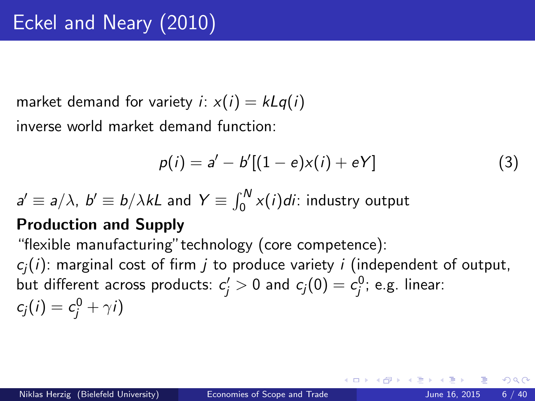market demand for variety *i*:  $x(i) = kLq(i)$ 

inverse world market demand function:

$$
p(i) = a' - b'[(1 - e)x(i) + eY]
$$
 (3)

 $a'\equiv a/\lambda$ ,  $b'\equiv b/\lambda k$ L and  $Y\equiv \int_0^N x(i)di$ : industry output

#### Production and Supply

"flexible manufacturing"technology (core competence):

 $c_i(i)$ : marginal cost of firm *j* to produce variety *i* (independent of output, but different across products:  $c_j'>0$  and  $c_j(0)=c_j^0;$  e.g. linear:  $c_j(i) = c_j^0 + \gamma i$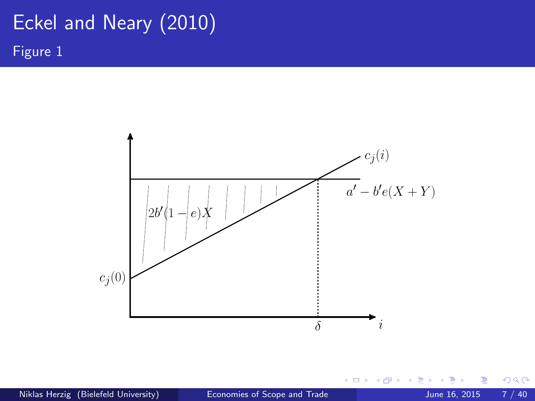### Eckel and Neary (2010) Figure 1



Niklas Herzig (Bielefeld University) [Economies of Scope and Trade](#page-0-0) June 16, 2015 7 / 40

す日→

э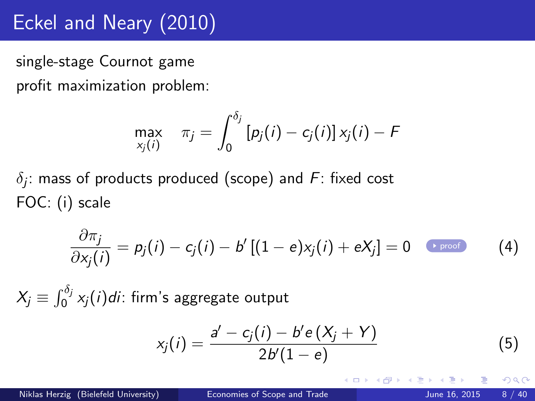### Eckel and Neary (2010)

<span id="page-7-1"></span>single-stage Cournot game profit maximization problem:

$$
\max_{x_j(i)} \quad \pi_j = \int_0^{\delta_j} [p_j(i) - c_j(i)] x_j(i) - F
$$

 $\delta_j$ : mass of products produced (scope) and  $F$ : fixed cost FOC: (i) scale

$$
\frac{\partial \pi_j}{\partial x_j(i)} = p_j(i) - c_j(i) - b'[(1-e)x_j(i) + eX_j] = 0 \quad \text{Proof}
$$
 (4)

 $\mathit{X}_{j}\equiv\int_{0}^{\delta_{j}}\mathit{x}_{j}(i)di:$  firm's aggregate output

<span id="page-7-0"></span>
$$
x_j(i) = \frac{a' - c_j(i) - b'e(X_j + Y)}{2b'(1 - e)}
$$
(5)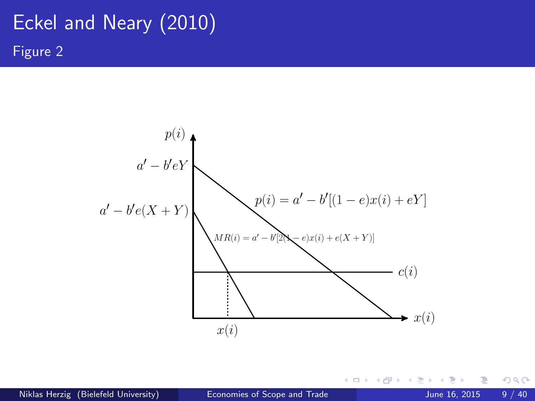# Eckel and Neary (2010) Figure 2



4 0 8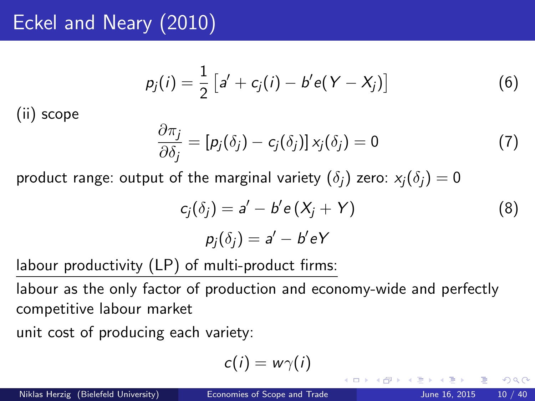### Eckel and Neary (2010)

$$
p_j(i) = \frac{1}{2} [a' + c_j(i) - b' e(Y - X_j)] \tag{6}
$$

(ii) scope

$$
\frac{\partial \pi_j}{\partial \delta_j} = [\rho_j(\delta_j) - c_j(\delta_j)] x_j(\delta_j) = 0 \tag{7}
$$

product range: output of the marginal variety  $(\delta_i)$  zero:  $x_i(\delta_i) = 0$ 

$$
c_j(\delta_j) = a' - b'e(X_j + Y)
$$
  
\n
$$
p_j(\delta_j) = a' - b'eY
$$
\n(8)

labour productivity (LP) of multi-product firms:

labour as the only factor of production and economy-wide and perfectly competitive labour market

unit cost of producing each variety:

$$
c(i) = w\gamma(i)
$$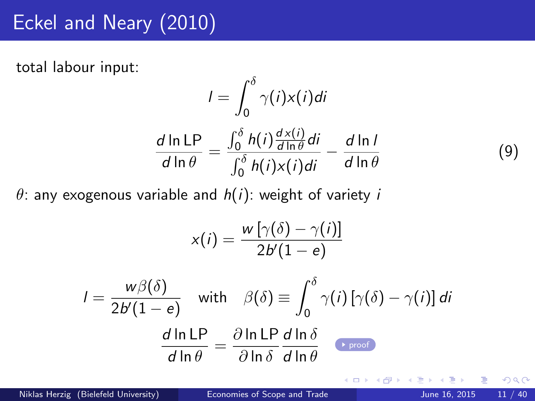### Eckel and Neary (2010)

<span id="page-10-0"></span>total labour input:

$$
I = \int_0^{\delta} \gamma(i)x(i)di
$$

$$
\frac{d \ln LP}{d \ln \theta} = \frac{\int_0^{\delta} h(i)\frac{d x(i)}{d \ln \theta}di}{\int_0^{\delta} h(i)x(i)di} - \frac{d \ln I}{d \ln \theta}
$$

 $\theta$ : any exogenous variable and  $h(i)$ : weight of variety i

$$
x(i) = \frac{w\left[\gamma(\delta) - \gamma(i)\right]}{2b'(1 - e)}
$$

$$
I = \frac{w\beta(\delta)}{2b'(1 - e)}
$$
 with  $\beta(\delta) \equiv \int_0^{\delta} \gamma(i) [\gamma(\delta) - \gamma(i)] di$   

$$
\frac{d \ln LP}{d \ln \theta} = \frac{\partial \ln LP}{\partial \ln \delta} \frac{d \ln \delta}{d \ln \theta}
$$

Niklas Herzig (Bielefeld University) [Economies of Scope and Trade](#page-0-0) June 16, 2015 11 / 40

4 D F

 $299$ 

(9)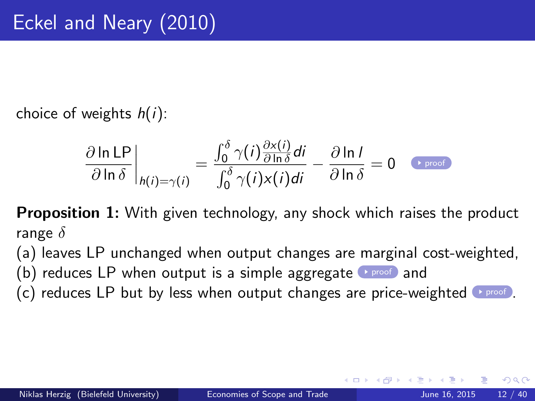<span id="page-11-0"></span>choice of weights  $h(i)$ :

$$
\frac{\partial \ln \text{LP}}{\partial \ln \delta}\bigg|_{h(i)=\gamma(i)} = \frac{\int_0^{\delta} \gamma(i) \frac{\partial x(i)}{\partial \ln \delta} di}{\int_0^{\delta} \gamma(i) x(i) di} - \frac{\partial \ln l}{\partial \ln \delta} = 0 \quad \text{Proof}
$$

**Proposition 1:** With given technology, any shock which raises the product range  $\delta$ 

(a) leaves LP unchanged when output changes are marginal cost-weighted,

(b) reduces LP when output is a simple aggregate **Proof** and

(c) reduces LP but by less when output changes are price-weighted  $\rightarrow$  [proof](#page-36-0)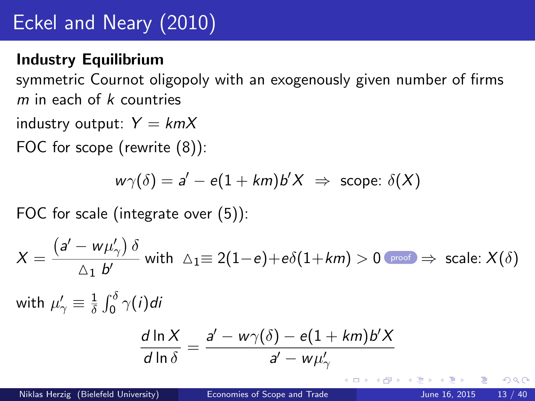# Eckel and Neary (2010)

#### <span id="page-12-0"></span>Industry Equilibrium

symmetric Cournot oligopoly with an exogenously given number of firms  $m$  in each of  $k$  countries

industry output:  $Y = kmX$ 

FOC for scope (rewrite (8)):

$$
w\gamma(\delta) = a' - e(1 + km)b'X \Rightarrow \text{scope: } \delta(X)
$$

FOC for scale (integrate over (5)):

$$
X = \frac{\left(a' - w\mu_\gamma'\right)\delta}{\Delta_1 b'} \text{ with } \Delta_1 \equiv 2(1-e) + e\delta(1+km) > 0 \text{ proof } \Rightarrow \text{ scale: } X(\delta)
$$

with  $\mu^{\prime}_{\gamma} \equiv \frac{1}{\delta}$  $\frac{1}{\delta}\int_0^\delta \gamma(i)$ di

$$
\frac{d \ln X}{d \ln \delta} = \frac{a' - w\gamma(\delta) - e(1 + km)b'X}{a' - w\mu'_\gamma}
$$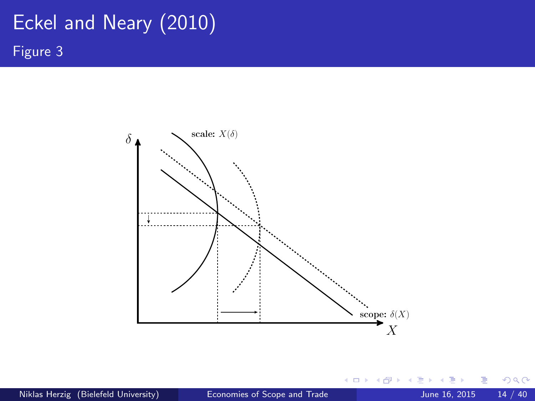# Eckel and Neary (2010) Figure 3



4 0 8 ×  $\rightarrow$ **A**  э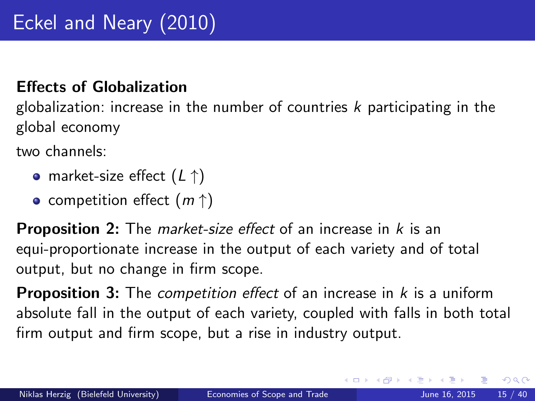#### Effects of Globalization

globalization: increase in the number of countries  $k$  participating in the global economy

two channels:

- market-size effect  $(L \uparrow)$
- competition effect  $(m \uparrow)$

**Proposition 2:** The *market-size effect* of an increase in k is an equi-proportionate increase in the output of each variety and of total output, but no change in firm scope.

**Proposition 3:** The *competition effect* of an increase in  $k$  is a uniform absolute fall in the output of each variety, coupled with falls in both total firm output and firm scope, but a rise in industry output.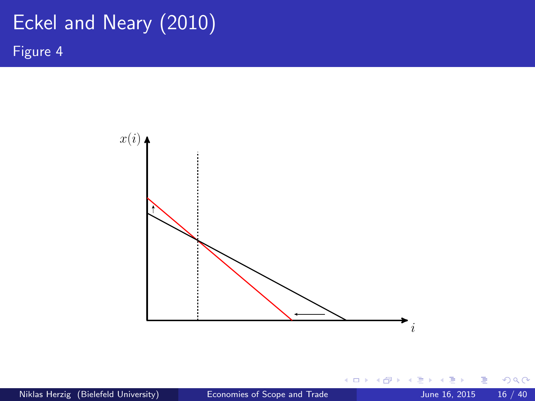# Eckel and Neary (2010)

Figure 4



4日)

- 6

Þ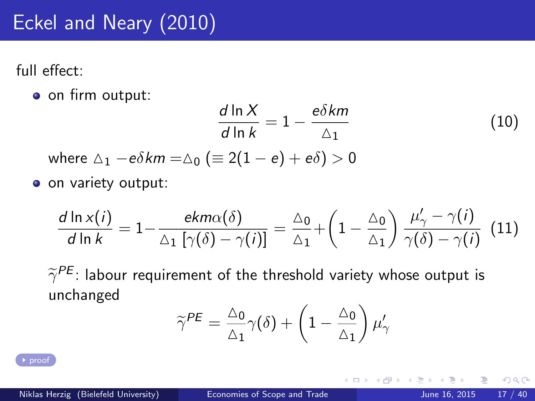# Eckel and Neary (2010)

<span id="page-16-0"></span>full effect:

o on firm output:

$$
\frac{d \ln X}{d \ln k} = 1 - \frac{e\delta km}{\Delta_1}
$$
 (10)  
where  $\Delta_1 - e\delta km = \Delta_0$  (equiv 2(1 - e) + e $\delta$ ) > 0

o on variety output:

$$
\frac{d \ln x(i)}{d \ln k} = 1 - \frac{ekm\alpha(\delta)}{\Delta_1 \left[\gamma(\delta) - \gamma(i)\right]} = \frac{\Delta_0}{\Delta_1} + \left(1 - \frac{\Delta_0}{\Delta_1}\right) \frac{\mu'_\gamma - \gamma(i)}{\gamma(\delta) - \gamma(i)} \tag{11}
$$

 $\widetilde{\gamma}^{PE}$ : labour requirement of the threshold variety whose output is<br>unchanged unchanged

$$
\widetilde{\gamma}^{PE} = \frac{\Delta_0}{\Delta_1} \gamma(\delta) + \left(1 - \frac{\Delta_0}{\Delta_1}\right) \mu_{\gamma}'
$$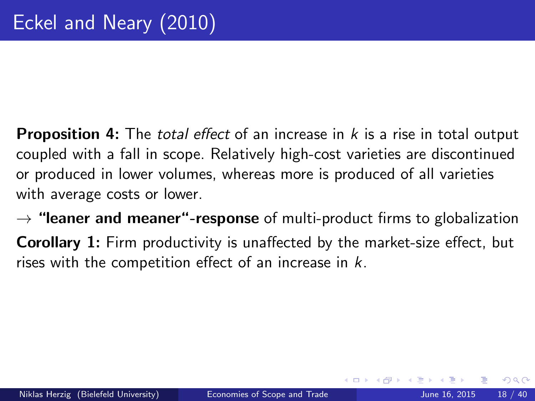- **Proposition 4:** The *total effect* of an increase in  $k$  is a rise in total output coupled with a fall in scope. Relatively high-cost varieties are discontinued or produced in lower volumes, whereas more is produced of all varieties with average costs or lower.
- $\rightarrow$  "leaner and meaner"-response of multi-product firms to globalization Corollary 1: Firm productivity is unaffected by the market-size effect, but rises with the competition effect of an increase in  $k$ .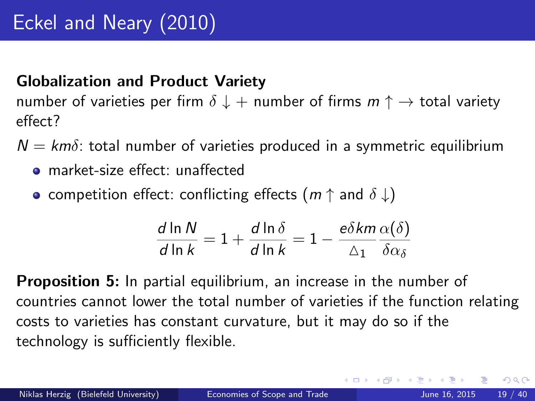#### <span id="page-18-0"></span>Globalization and Product Variety

number of varieties per firm  $\delta \downarrow +$  number of firms  $m \uparrow \rightarrow$  total variety effect?

- $N = km\delta$ : total number of varieties produced in a symmetric equilibrium
	- market-size effect: unaffected
	- **•** competition effect: conflicting effects ( $m \uparrow$  and  $\delta \downarrow$ )

$$
\frac{d \ln N}{d \ln k} = 1 + \frac{d \ln \delta}{d \ln k} = 1 - \frac{e \delta k m}{\Delta_1} \frac{\alpha(\delta)}{\delta \alpha_{\delta}}
$$

**Proposition 5:** In partial equilibrium, an increase in the number of countries cannot lower the total number of varieties if the function relating costs to varieties has constant curvature, but it may do so if the technology is sufficiently flexible.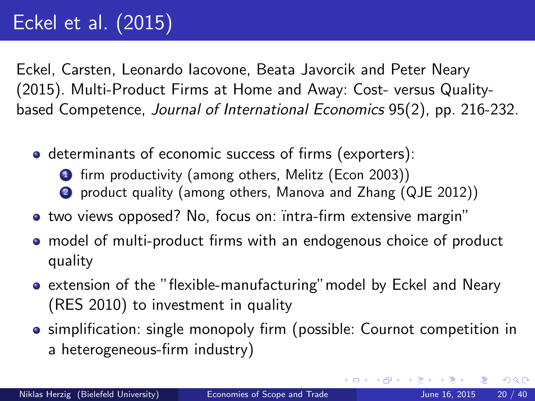<span id="page-19-0"></span>Eckel, Carsten, Leonardo Iacovone, Beata Javorcik and Peter Neary (2015). Multi-Product Firms at Home and Away: Cost- versus Qualitybased Competence, Journal of International Economics 95(2), pp. 216-232.

- determinants of economic success of firms (exporters):
	- **1** firm productivity (among others, Melitz (Econ 2003))
	- <sup>2</sup> product quality (among others, Manova and Zhang (QJE 2012))
- two views opposed? No, focus on: intra-firm extensive margin"
- model of multi-product firms with an endogenous choice of product quality
- extension of the "flexible-manufacturing"model by Eckel and Neary (RES 2010) to investment in quality
- simplification: single monopoly firm (possible: Cournot competition in a heterogeneous-firm industry)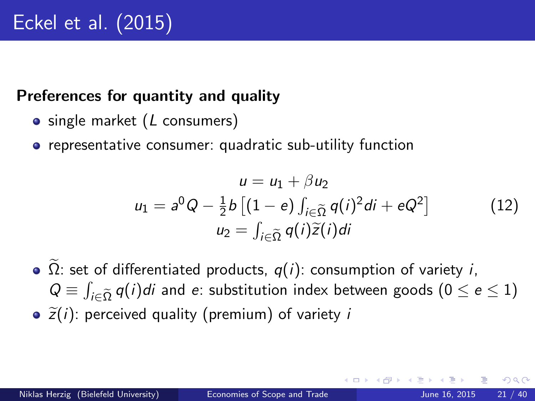#### Preferences for quantity and quality

- $\bullet$  single market ( $L$  consumers)
- **•** representative consumer: quadratic sub-utility function

$$
u = u_1 + \beta u_2
$$
  
\n
$$
u_1 = a^0 Q - \frac{1}{2} b \left[ (1 - e) \int_{i \in \tilde{\Omega}} q(i)^2 di + eQ^2 \right]
$$
  
\n
$$
u_2 = \int_{i \in \tilde{\Omega}} q(i) \tilde{z}(i) di
$$
\n(12)

 $\Omega$ : set of differentiated products,  $q(i)$ : consumption of variety i,  $Q \equiv \int_{i \in \tilde{\Omega}} q(i)di$  and e: substitution index between goods  $(0 \leq e \leq 1)$  $\tilde{z}(i)$ : perceived quality (premium) of variety i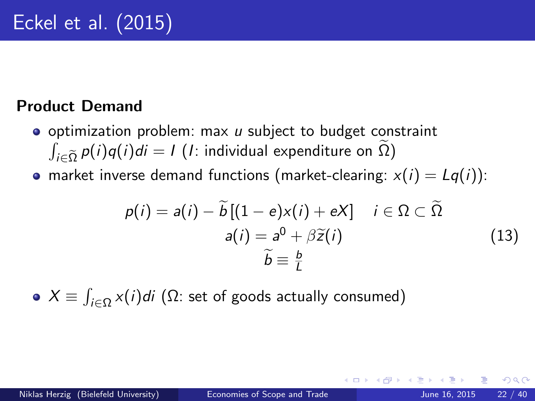#### Product Demand

- $\bullet$  optimization problem: max  $u$  subject to budget constraint  $\int_{i\in\widetilde{\Omega}}p(i)q(i)di = I$  (*I*: individual expenditure on  $\Omega$ )
- market inverse demand functions (market-clearing:  $x(i) = Lq(i)$ ):

$$
p(i) = a(i) - \widetilde{b}[(1 - e)x(i) + eX] \quad i \in \Omega \subset \widetilde{\Omega}
$$
  

$$
a(i) = a^0 + \beta \widetilde{z}(i)
$$
  

$$
\widetilde{b} \equiv \frac{b}{L}
$$
 (13)

 $X \equiv \int_{i \in \Omega} x(i)di$  (Ω: set of goods actually consumed)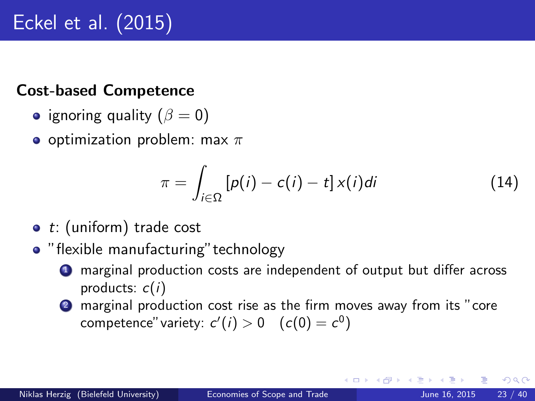#### Cost-based Competence

- ignoring quality  $(\beta = 0)$
- o optimization problem: max  $\pi$

$$
\pi = \int_{i \in \Omega} \left[ p(i) - c(i) - t \right] x(i) di \tag{14}
$$

- $\bullet$  t: (uniform) trade cost
- "flexible manufacturing" technology
	- <sup>1</sup> marginal production costs are independent of output but differ across products:  $c(i)$
	- 2 marginal production cost rise as the firm moves away from its "core" competence" variety:  $c'(i) > 0 \quad (c(0) = c^0)$

つへへ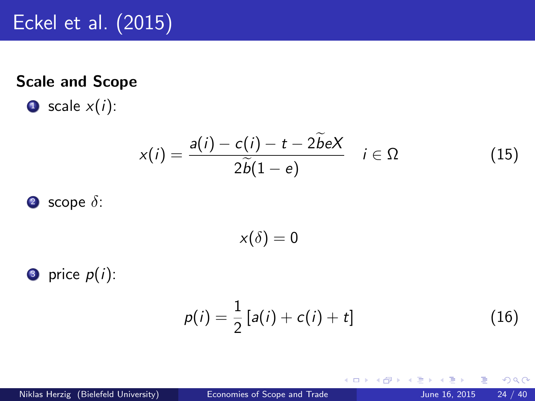#### Scale and Scope

 $\bullet$  scale  $x(i)$ :

$$
x(i) = \frac{a(i) - c(i) - t - 2\tilde{b}eX}{2\tilde{b}(1 - e)} \quad i \in \Omega
$$
 (15)

$$
3 \text{ scope } \delta:
$$

$$
x(\delta)=0
$$

**3** price  $p(i)$ :

$$
p(i) = \frac{1}{2} [a(i) + c(i) + t]
$$
 (16)

4 0 8 ×.  $\Box$  目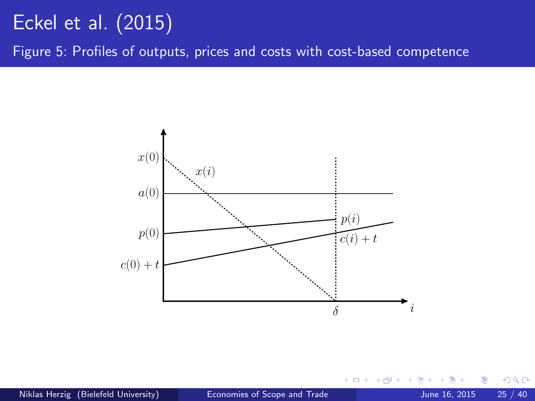Figure 5: Profiles of outputs, prices and costs with cost-based competence



 $\leftarrow$ 

 $QQ$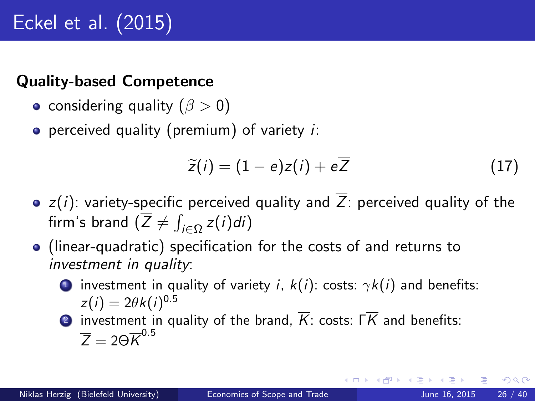#### Quality-based Competence

- considering quality  $(\beta > 0)$
- **•** perceived quality (premium) of variety  $i$ :

$$
\widetilde{z}(i) = (1 - e)z(i) + e\overline{Z} \tag{17}
$$

- $\bullet$  z(i): variety-specific perceived quality and  $\overline{Z}$ : perceived quality of the firm's brand  $(\overline{Z} \neq \int_{i \in \Omega} z(i) di)$
- (linear-quadratic) specification for the costs of and returns to investment in quality:
	- **1** investment in quality of variety i,  $k(i)$ : costs:  $\gamma k(i)$  and benefits:  $z(i) = 2\theta k(i)^{0.5}$

**2** investment in quality of the brand,  $\overline{K}$ : costs:  $\overline{K}$  and benefits:  $\overline{Z} = 2\Theta \overline{K}^{0.5}$ 

つへへ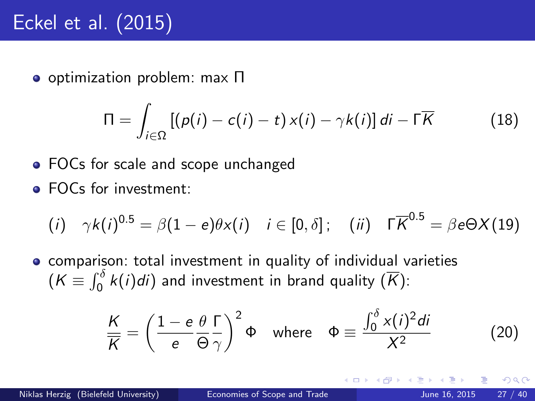optimization problem: max Π

$$
\Pi = \int_{i \in \Omega} \left[ (p(i) - c(i) - t) \, x(i) - \gamma k(i) \right] di - \Gamma \overline{K} \tag{18}
$$

- FOCs for scale and scope unchanged
- **FOCs for investment:**

$$
(i) \quad \gamma k(i)^{0.5} = \beta(1-e)\theta x(i) \quad i \in [0,\delta]; \quad (ii) \quad \Gamma \overline{K}^{0.5} = \beta e \Theta X(19)
$$

comparison: total investment in quality of individual varieties  $(\mathcal{K} \equiv \int_0^\delta k(i) di)$  and investment in brand quality  $(\overline{\mathcal{K}})$ :

$$
\frac{K}{K} = \left(\frac{1 - e}{e}\frac{\theta \Gamma}{\Theta \gamma}\right)^2 \Phi \quad \text{where} \quad \Phi \equiv \frac{\int_0^{\delta} x(i)^2 di}{X^2} \tag{20}
$$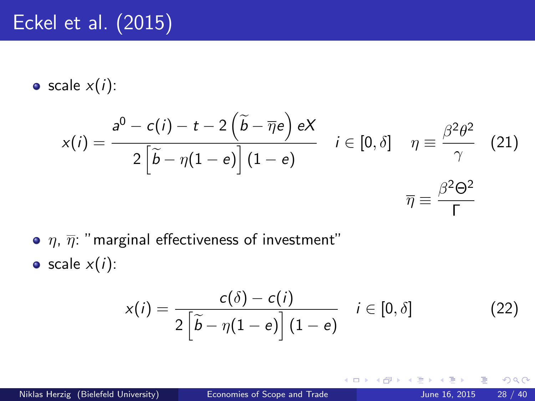• scale  $x(i)$ :

$$
x(i) = \frac{a^0 - c(i) - t - 2(\tilde{b} - \bar{\eta}e) eX}{2(\tilde{b} - \eta(1 - e)) (1 - e)} \quad i \in [0, \delta] \quad \eta \equiv \frac{\beta^2 \theta^2}{\gamma} \quad (21)
$$

$$
\overline{\eta} \equiv \frac{\beta^2 \Theta^2}{\Gamma}
$$

 $\bullet$   $\eta$ ,  $\overline{\eta}$ : "marginal effectiveness of investment"

 $\bullet$  scale  $x(i)$ :

$$
x(i) = \frac{c(\delta) - c(i)}{2\left[\widetilde{b} - \eta(1 - e)\right](1 - e)} \quad i \in [0, \delta]
$$
 (22)

4 0 8

 $QQ$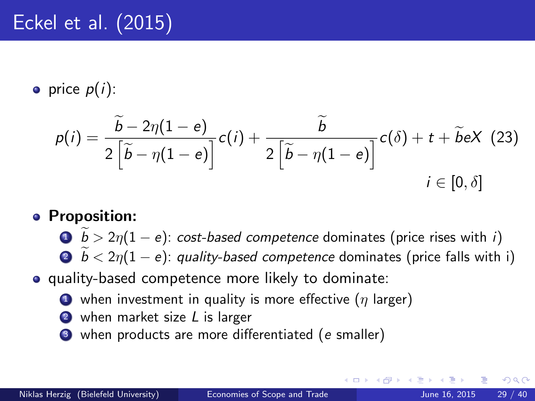• price  $p(i)$ :

$$
p(i) = \frac{\widetilde{b} - 2\eta(1 - e)}{2\left[\widetilde{b} - \eta(1 - e)\right]}c(i) + \frac{\widetilde{b}}{2\left[\widetilde{b} - \eta(1 - e)\right]}c(\delta) + t + \widetilde{b}eX
$$
 (23)  
  $i \in [0, \delta]$ 

- **•** Proposition:
	- **1**  $\mathbf{b} > 2\eta(1 e)$ : cost-based competence dominates (price rises with i)
	- $\hat{\mathbf{B}}$   $\hat{b}$  < 2 $\eta$ (1 e): quality-based competence dominates (price falls with i)
- quality-based competence more likely to dominate:
	- $\bullet$  when investment in quality is more effective  $(\eta)$  larger)
	- 2 when market size L is larger
	- when products are more differentiated (e smaller)

つひひ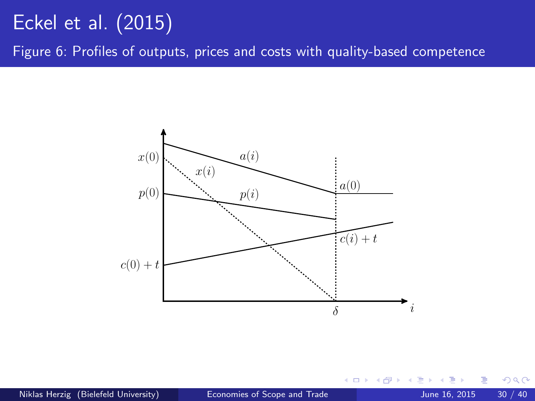Figure 6: Profiles of outputs, prices and costs with quality-based competence



 $\leftarrow$ 

 $QQ$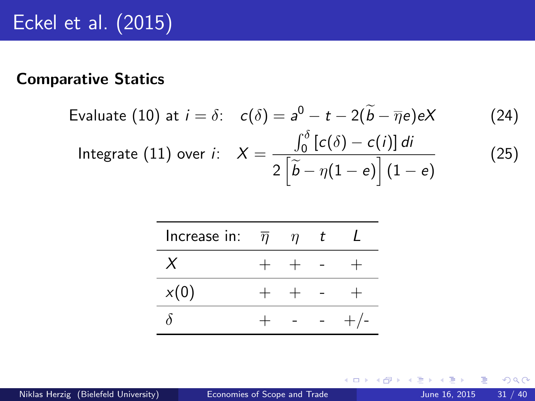#### Comparative Statics

Evaluate (10) at 
$$
i = \delta
$$
:  $c(\delta) = a^0 - t - 2(\tilde{b} - \overline{\eta}e)eX$  (24)  
Integrate (11) over *i*:  $X = \frac{\int_0^{\delta} [c(\delta) - c(i)] \, di}{2[\tilde{b} - \eta(1 - e)] (1 - e)}$  (25)

| Increase in: $\overline{\eta}$ | $\eta$ | t |  |
|--------------------------------|--------|---|--|
|                                | $+$    |   |  |
| x(0)                           | $+$    |   |  |
|                                |        |   |  |

э

**4 ロ ▶ 4 母 ▶ 4**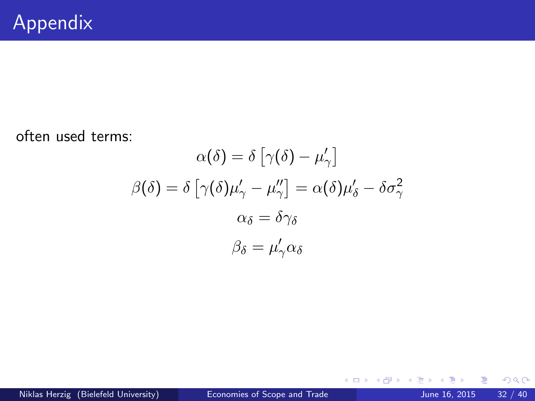often used terms:

$$
\alpha(\delta) = \delta \left[ \gamma(\delta) - \mu'_{\gamma} \right]
$$

$$
\beta(\delta) = \delta \left[ \gamma(\delta) \mu'_{\gamma} - \mu''_{\gamma} \right] = \alpha(\delta) \mu'_{\delta} - \delta \sigma_{\gamma}^2
$$

$$
\alpha_{\delta} = \delta \gamma_{\delta}
$$

$$
\beta_{\delta} = \mu'_{\gamma} \alpha_{\delta}
$$

一心 語

**K ロト K 倒 ト K ミト** 

重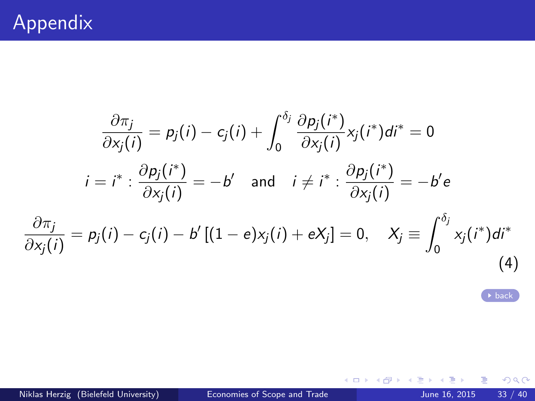<span id="page-32-0"></span>
$$
\frac{\partial \pi_j}{\partial x_j(i)} = p_j(i) - c_j(i) + \int_0^{\delta_j} \frac{\partial p_j(i^*)}{\partial x_j(i)} x_j(i^*) di^* = 0
$$
  
\n
$$
i = i^* : \frac{\partial p_j(i^*)}{\partial x_j(i)} = -b' \quad \text{and} \quad i \neq i^* : \frac{\partial p_j(i^*)}{\partial x_j(i)} = -b' e
$$
  
\n
$$
\frac{\partial \pi_j}{\partial x_j(i)} = p_j(i) - c_j(i) - b'[(1 - e)x_j(i) + eX_j] = 0, \quad X_j \equiv \int_0^{\delta_j} x_j(i^*) di^*
$$
\n(4)

[back](#page-7-1)

画

 $299$ 

 $\rightarrow$   $\Rightarrow$ 

**K ロ ト K 御 ト K 君 ト**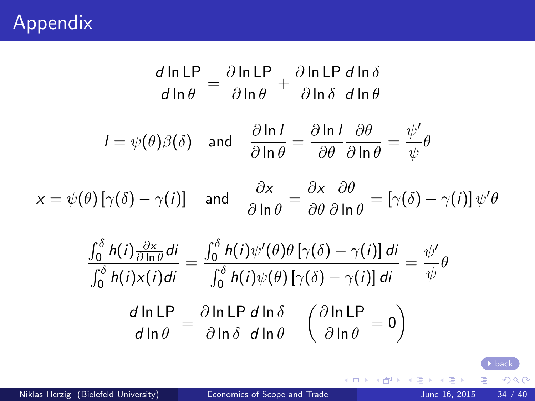# Appendix

<span id="page-33-0"></span>
$$
\frac{d \ln \text{LP}}{d \ln \theta} = \frac{\partial \ln \text{LP}}{\partial \ln \theta} + \frac{\partial \ln \text{LP}}{\partial \ln \delta} \frac{d \ln \delta}{d \ln \theta}
$$
\n
$$
I = \psi(\theta)\beta(\delta) \text{ and } \frac{\partial \ln I}{\partial \ln \theta} = \frac{\partial \ln I}{\partial \theta} \frac{\partial \theta}{\partial \ln \theta} = \frac{\psi'}{\psi}\theta
$$
\n
$$
x = \psi(\theta) \left[ \gamma(\delta) - \gamma(i) \right] \text{ and } \frac{\partial x}{\partial \ln \theta} = \frac{\partial x}{\partial \theta} \frac{\partial \theta}{\partial \ln \theta} = \left[ \gamma(\delta) - \gamma(i) \right] \psi'\theta
$$
\n
$$
\frac{\int_0^\delta h(i) \frac{\partial x}{\partial \ln \theta} di}{\int_0^\delta h(i) x(i) di} = \frac{\int_0^\delta h(i) \psi'(\theta) \theta \left[ \gamma(\delta) - \gamma(i) \right] di}{\int_0^\delta h(i) \psi(\theta) \left[ \gamma(\delta) - \gamma(i) \right] di} = \frac{\psi'}{\psi}\theta
$$
\n
$$
\frac{d \ln \text{LP}}{d \ln \theta} = \frac{\partial \ln \text{LP}}{\partial \ln \delta} \frac{d \ln \text{LP}}{d \ln \theta} \quad \left( \frac{\partial \ln \text{LP}}{\partial \ln \theta} = 0 \right)
$$

 $\rightarrow \equiv$ 

メロメ メタメ メミメ

 $\rightarrow$  [back](#page-10-0)

重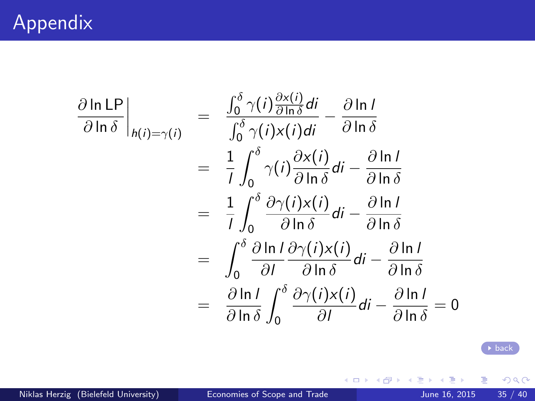<span id="page-34-0"></span>
$$
\frac{\partial \ln LP}{\partial \ln \delta}\Big|_{h(i) = \gamma(i)} = \frac{\int_0^{\delta} \gamma(i) \frac{\partial x(i)}{\partial \ln \delta} di}{\int_0^{\delta} \gamma(i) x(i) di} - \frac{\partial \ln l}{\partial \ln \delta}
$$
  
\n
$$
= \frac{1}{l} \int_0^{\delta} \gamma(i) \frac{\partial x(i)}{\partial \ln \delta} di - \frac{\partial \ln l}{\partial \ln \delta}
$$
  
\n
$$
= \frac{1}{l} \int_0^{\delta} \frac{\partial \gamma(i) x(i)}{\partial \ln \delta} di - \frac{\partial \ln l}{\partial \ln \delta}
$$
  
\n
$$
= \int_0^{\delta} \frac{\partial \ln l}{\partial l} \frac{\partial \gamma(i) x(i)}{\partial \ln \delta} di - \frac{\partial \ln l}{\partial \ln \delta}
$$
  
\n
$$
= \frac{\partial \ln l}{\partial \ln \delta} \int_0^{\delta} \frac{\partial \gamma(i) x(i)}{\partial l} di - \frac{\partial \ln l}{\partial \ln \delta} = 0
$$

Niklas Herzig (Bielefeld University) [Economies of Scope and Trade](#page-0-0) June 16, 2015 35 / 40

活

 $\rightarrow \equiv$ 

**K ロ ト K 御 ト K 君 ト** 

[back](#page-11-0)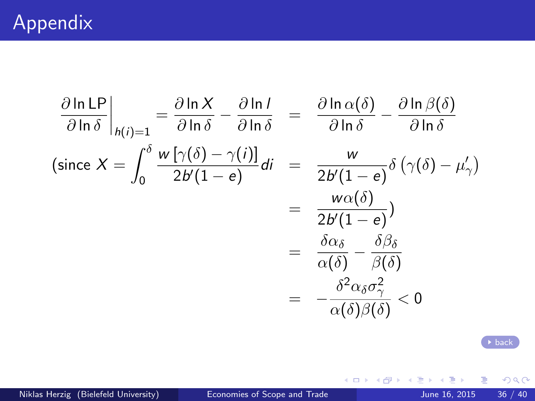<span id="page-35-0"></span>
$$
\frac{\partial \ln \text{LP}}{\partial \ln \delta} \Big|_{h(i)=1} = \frac{\partial \ln X}{\partial \ln \delta} - \frac{\partial \ln I}{\partial \ln \delta} = \frac{\partial \ln \alpha(\delta)}{\partial \ln \delta} - \frac{\partial \ln \beta(\delta)}{\partial \ln \delta}
$$
\n(since  $X = \int_0^{\delta} \frac{w [\gamma(\delta) - \gamma(i)]}{2b'(1 - e)} di = \frac{w}{2b'(1 - e)} \delta (\gamma(\delta) - \mu'_\gamma)$   
\n
$$
= \frac{w \alpha(\delta)}{2b'(1 - e)}\n= \frac{\delta \alpha_{\delta}}{\alpha(\delta)} - \frac{\delta \beta_{\delta}}{\beta(\delta)}
$$
  
\n
$$
= -\frac{\delta^2 \alpha_{\delta} \sigma_\gamma^2}{\alpha(\delta) \beta(\delta)} < 0
$$

[back](#page-11-0)

 $299$ 

活

 $\rightarrow \equiv$ 

**K ロ ト K 御 ト K 君 ト**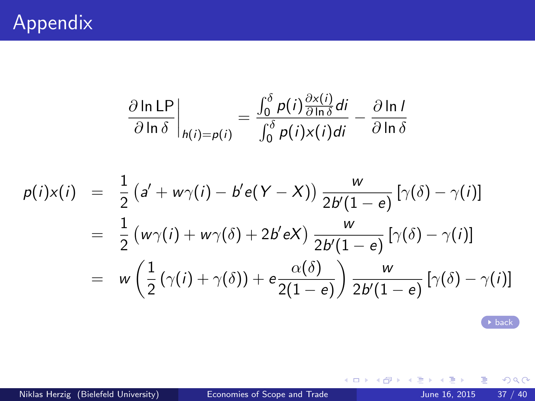$$
\frac{\partial \ln \text{LP}}{\partial \ln \delta}\bigg|_{h(i)=p(i)} = \frac{\int_0^{\delta} p(i) \frac{\partial x(i)}{\partial \ln \delta} di}{\int_0^{\delta} p(i) x(i) di} - \frac{\partial \ln l}{\partial \ln \delta}
$$

<span id="page-36-0"></span>
$$
p(i)x(i) = \frac{1}{2} (a' + w\gamma(i) - b'e(Y - X)) \frac{w}{2b'(1 - e)} [\gamma(\delta) - \gamma(i)]
$$
  

$$
= \frac{1}{2} (w\gamma(i) + w\gamma(\delta) + 2b'eX) \frac{w}{2b'(1 - e)} [\gamma(\delta) - \gamma(i)]
$$
  

$$
= w \left(\frac{1}{2} (\gamma(i) + \gamma(\delta)) + e \frac{\alpha(\delta)}{2(1 - e)} \right) \frac{w}{2b'(1 - e)} [\gamma(\delta) - \gamma(i)]
$$

[back](#page-11-0)

 $2990$ 

Ε

イロト イ部 トメ ヨ トメ ヨト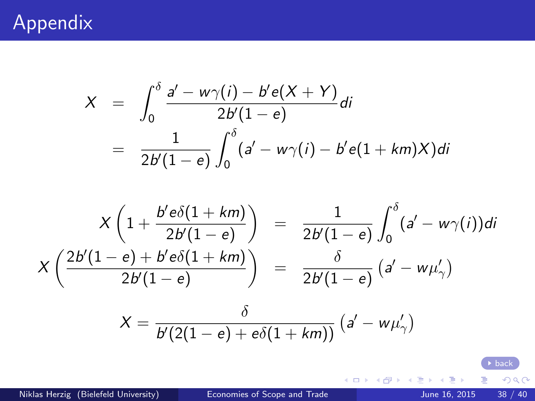### <span id="page-37-0"></span>Appendix

$$
X = \int_0^{\delta} \frac{a' - w\gamma(i) - b'e(X + Y)}{2b'(1 - e)} di
$$
  
= 
$$
\frac{1}{2b'(1 - e)} \int_0^{\delta} (a' - w\gamma(i) - b'e(1 + km)X) di
$$

$$
X\left(1+\frac{b'e\delta(1+km)}{2b'(1-e)}\right) = \frac{1}{2b'(1-e)}\int_0^{\delta}(a'-w\gamma(i))di
$$

$$
X\left(\frac{2b'(1-e)+b'e\delta(1+km)}{2b'(1-e)}\right) = \frac{\delta}{2b'(1-e)}\left(a'-w\mu_{\gamma}'\right)
$$

$$
X = \frac{\delta}{b'(2(1-e) + e\delta(1+km))} (a'-w\mu'_\gamma)
$$

Niklas Herzig (Bielefeld University) [Economies of Scope and Trade](#page-0-0) June 16, 2015 38 / 40

重

K ロ ▶ K 御 ▶ K 唐 ▶ K 唐 ▶

[back](#page-12-0)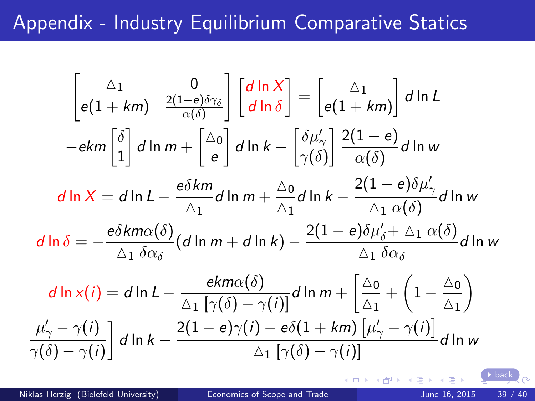#### <span id="page-38-0"></span>Appendix - Industry Equilibrium Comparative Statics

$$
\begin{bmatrix}\n\Delta_{1} & 0 \\
e(1 + km) & \frac{2(1 - e)\delta\gamma_{\delta}}{\alpha(\delta)}\n\end{bmatrix}\n\begin{bmatrix}\nd\ln X \\
d\ln \delta\n\end{bmatrix} =\n\begin{bmatrix}\n\Delta_{1} \\
e(1 + km)\n\end{bmatrix} d\ln L
$$
\n
$$
-ekm \begin{bmatrix}\n\delta \\
1\n\end{bmatrix} d\ln m +\n\begin{bmatrix}\n\Delta_{0} \\
e\n\end{bmatrix} d\ln k -\n\begin{bmatrix}\n\delta\mu'_{\gamma} \\
\gamma(\delta)\n\end{bmatrix}\n\frac{2(1 - e)}{\alpha(\delta)} d\ln w
$$
\n
$$
d\ln X = d\ln L -\n\frac{e\delta km}{\Delta_{1}} d\ln m +\n\frac{\Delta_{0}}{\Delta_{1}} d\ln k -\n\frac{2(1 - e)\delta\mu'_{\gamma}}{\Delta_{1} \alpha(\delta)} d\ln w
$$
\n
$$
d\ln \delta = -\frac{e\delta km\alpha(\delta)}{\Delta_{1} \delta\alpha_{\delta}} (d\ln m + d\ln k) -\n\frac{2(1 - e)\delta\mu'_{\delta} + \Delta_{1} \alpha(\delta)}{\Delta_{1} \delta\alpha_{\delta}} d\ln w
$$
\n
$$
d\ln x(i) = d\ln L -\n\frac{ekm\alpha(\delta)}{\Delta_{1} [\gamma(\delta) - \gamma(i)]} d\ln m +\n\begin{bmatrix}\n\frac{\Delta_{0}}{\Delta_{1}} + \left(1 - \frac{\Delta_{0}}{\Delta_{1}}\right) \\
\frac{\mu'_{\gamma} - \gamma(i)}{\gamma(\delta) - \gamma(i)}\n\end{bmatrix} d\ln k -\n\frac{2(1 - e)\gamma(i) - e\delta(1 + km) [\mu'_{\gamma} - \gamma(i)]}{\Delta_{1} [\gamma(\delta) - \gamma(i)]} d\ln w
$$

**K ロ ト K 何 ト K** 

[back](#page-16-0)